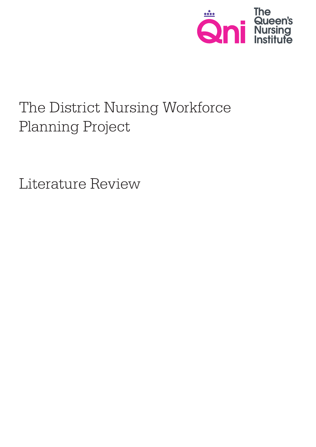

# The District Nursing Workforce Planning Project

Literature Review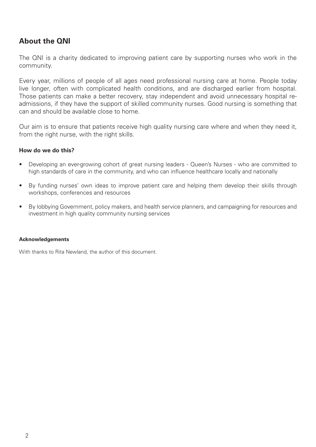# **About the QNI**

The QNI is a charity dedicated to improving patient care by supporting nurses who work in the community.

Every year, millions of people of all ages need professional nursing care at home. People today live longer, often with complicated health conditions, and are discharged earlier from hospital. Those patients can make a better recovery, stay independent and avoid unnecessary hospital readmissions, if they have the support of skilled community nurses. Good nursing is something that can and should be available close to home.

Our aim is to ensure that patients receive high quality nursing care where and when they need it, from the right nurse, with the right skills.

#### **How do we do this?**

- Developing an ever-growing cohort of great nursing leaders Queen's Nurses who are committed to high standards of care in the community, and who can influence healthcare locally and nationally
- By funding nurses' own ideas to improve patient care and helping them develop their skills through workshops, conferences and resources
- • By lobbying Government, policy makers, and health service planners, and campaigning for resources and investment in high quality community nursing services

#### **Acknowledgements**

With thanks to Rita Newland, the author of this document.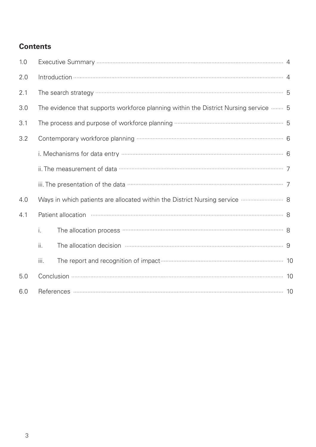# **Contents**

| 1.0 |                                                                                        |                                                                                                                                              |  |  |
|-----|----------------------------------------------------------------------------------------|----------------------------------------------------------------------------------------------------------------------------------------------|--|--|
| 2.0 |                                                                                        |                                                                                                                                              |  |  |
| 2.1 |                                                                                        |                                                                                                                                              |  |  |
| 3.0 | The evidence that supports workforce planning within the District Nursing service …… 5 |                                                                                                                                              |  |  |
| 3.1 |                                                                                        |                                                                                                                                              |  |  |
| 3.2 |                                                                                        |                                                                                                                                              |  |  |
|     |                                                                                        |                                                                                                                                              |  |  |
|     |                                                                                        |                                                                                                                                              |  |  |
|     |                                                                                        | iii. The presentation of the data <b>multiple and contain an article of the data</b> 7                                                       |  |  |
| 4.0 | Ways in which patients are allocated within the District Nursing service <b></b> 8     |                                                                                                                                              |  |  |
| 4.1 |                                                                                        |                                                                                                                                              |  |  |
|     | i.                                                                                     | The allocation process <b>much construct that the allocation</b> process <b>and the allocation</b> process <b>construct to allocation</b> as |  |  |
|     | ii.                                                                                    | The allocation decision manufactured and allocation decision manufactured and allocation decision                                            |  |  |
|     | iii.                                                                                   |                                                                                                                                              |  |  |
| 5.0 |                                                                                        |                                                                                                                                              |  |  |
| 6.0 |                                                                                        |                                                                                                                                              |  |  |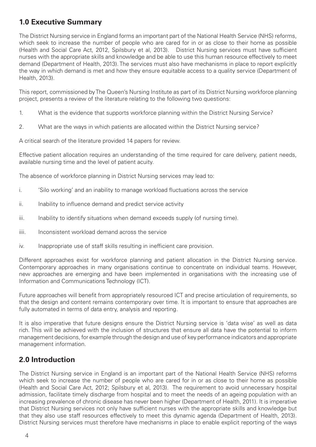# **1.0 Executive Summary**

The District Nursing service in England forms an important part of the National Health Service (NHS) reforms, which seek to increase the number of people who are cared for in or as close to their home as possible (Health and Social Care Act, 2012, Spilsbury et al, 2013). District Nursing services must have sufficient nurses with the appropriate skills and knowledge and be able to use this human resource effectively to meet demand (Department of Health, 2013). The services must also have mechanisms in place to report explicitly the way in which demand is met and how they ensure equitable access to a quality service (Department of Health, 2013).

This report, commissioned by The Queen's Nursing Institute as part of its District Nursing workforce planning project, presents a review of the literature relating to the following two questions:

- 1. What is the evidence that supports workforce planning within the District Nursing Service?
- 2. What are the ways in which patients are allocated within the District Nursing service?

A critical search of the literature provided 14 papers for review.

Effective patient allocation requires an understanding of the time required for care delivery, patient needs, available nursing time and the level of patient acuity.

The absence of workforce planning in District Nursing services may lead to:

- i. 'Silo working' and an inability to manage workload fluctuations across the service
- ii. Inability to influence demand and predict service activity
- iii. Inability to identify situations when demand exceeds supply (of nursing time).
- iiii. Inconsistent workload demand across the service
- iv. Inappropriate use of staff skills resulting in inefficient care provision.

Different approaches exist for workforce planning and patient allocation in the District Nursing service. Contemporary approaches in many organisations continue to concentrate on individual teams. However, new approaches are emerging and have been implemented in organisations with the increasing use of Information and Communications Technology (ICT).

Future approaches will benefit from appropriately resourced ICT and precise articulation of requirements, so that the design and content remains contemporary over time. It is important to ensure that approaches are fully automated in terms of data entry, analysis and reporting.

It is also imperative that future designs ensure the District Nursing service is 'data wise' as well as data rich. This will be achieved with the inclusion of structures that ensure all data have the potential to inform management decisions, for example through the design and use of key performance indicators and appropriate management information.

# **2.0 Introduction**

The District Nursing service in England is an important part of the National Health Service (NHS) reforms which seek to increase the number of people who are cared for in or as close to their home as possible (Health and Social Care Act, 2012; Spilsbury et al, 2013). The requirement to avoid unnecessary hospital admission, facilitate timely discharge from hospital and to meet the needs of an ageing population with an increasing prevalence of chronic disease has never been higher (Department of Health, 2011). It is imperative that District Nursing services not only have sufficient nurses with the appropriate skills and knowledge but that they also use staff resources effectively to meet this dynamic agenda (Department of Health, 2013). District Nursing services must therefore have mechanisms in place to enable explicit reporting of the ways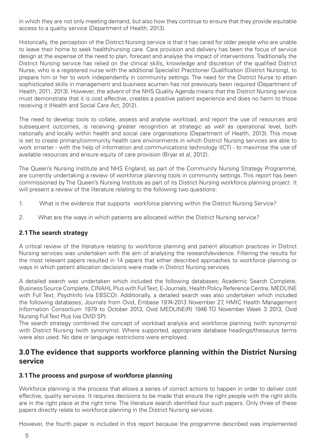in which they are not only meeting demand, but also how they continue to ensure that they provide equitable access to a quality service (Department of Health, 2013).

Historically, the perception of the District Nursing service is that it has cared for older people who are unable to leave their home to seek health/nursing care. Care provision and delivery has been the focus of service design at the expense of the need to plan, forecast and analyse the impact of interventions. Traditionally the District Nursing service has relied on the clinical skills, knowledge and discretion of the qualified District Nurse, who is a registered nurse with the additional Specialist Practitoner Qualification (District Nursing), to prepare him or her to work independently in community settings. The need for the District Nurse to attain sophisticated skills in management and business acumen has not previously been required (Department of Health, 2011, 2013). However, the advent of the NHS Quality Agenda means that the District Nursing service must demonstrate that it is cost effective, creates a positive patient experience and does no harm to those receiving it (Health and Social Care Act, 2012).

The need to develop tools to collate, assess and analyse workload, and report the use of resources and subsequent outcomes, is receiving greater recognition at strategic as well as operational level, both nationally and locally within health and social care organisations (Department of Health, 2013). This move is set to create primary/community health care environments in which District Nursing services are able to work smarter - with the help of information and communications technology (ICT) - to maximise the use of available resources and ensure equity of care provision (Bryar et al, 2012).

The Queen's Nursing Institute and NHS England, as part of the Community Nursing Strategy Programme, are currently undertaking a review of workforce planning tools in community settings. This report has been commissioned by The Queen's Nursing Institute as part of its District Nursing workforce planning project. It will present a review of the literature relating to the following two questions:

- 1. What is the evidence that supports workforce planning within the District Nursing Service?
- 2. What are the ways in which patients are allocated within the District Nursing service?

#### **2.1 The search strategy**

A critical review of the literature relating to workforce planning and patient allocation practices in District Nursing services was undertaken with the aim of analysing the research/evidence. Filtering the results for the most relevant papers resulted in 14 papers that either described approaches to workforce planning or ways in which patient allocation decisions were made in District Nursing services.

A detailed search was undertaken which included the following databases; Academic Search Complete, Business Source Complete, CINAHL Plus with Full Text, E-Journals, Health Policy Reference Centre, MEDLINE with Full Text, PsychInfo (via EBSCO). Additionally, a detailed search was also undertaken which included the following databases; Journals from Ovid, Embase 1974-2013 November 27, HMIC Health Management Information Consortium 1979 to October 2013, Ovid MEDLINE(R) 1946 TO November Week 3 2013, Ovid Nursing Full Text Plus (via OVID SP).

The search strategy combined the concept of workload analysis and workforce planning (with synonyms) with District Nursing (with synonyms). Where supported, appropriate database headings/thesaurus terms were also used. No date or language restrictions were employed.

### **3.0 The evidence that supports workforce planning within the District Nursing service**

#### **3.1 The process and purpose of workforce planning**

Workforce planning is the process that allows a series of correct actions to happen in order to deliver cost effective, quality services. It requires decisions to be made that ensure the right people with the right skills are in the right place at the right time. The literature search identified four such papers. Only three of these papers directly relate to workforce planning in the District Nursing services.

However, the fourth paper is included in this report because the programme described was implemented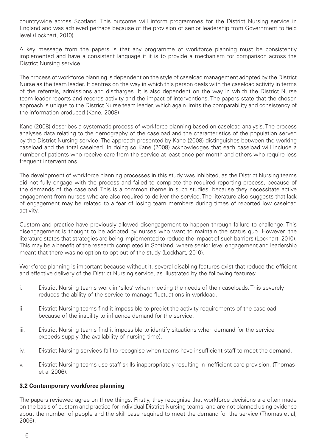countrywide across Scotland. This outcome will inform programmes for the District Nursing service in England and was achieved perhaps because of the provision of senior leadership from Government to field level (Lockhart, 2010).

A key message from the papers is that any programme of workforce planning must be consistently implemented and have a consistent language if it is to provide a mechanism for comparison across the District Nursing service.

The process of workforce planning is dependent on the style of caseload management adopted by the District Nurse as the team leader. It centres on the way in which this person deals with the caseload activity in terms of the referrals, admissions and discharges. It is also dependent on the way in which the District Nurse team leader reports and records activity and the impact of interventions. The papers state that the chosen approach is unique to the District Nurse team leader, which again limits the comparability and consistency of the information produced (Kane, 2008).

Kane (2008) describes a systematic process of workforce planning based on caseload analysis. The process analyses data relating to the demography of the caseload and the characteristics of the population served by the District Nursing service. The approach presented by Kane (2008) distinguishes between the working caseload and the total caseload. In doing so Kane (2008) acknowledges that each caseload will include a number of patients who receive care from the service at least once per month and others who require less frequent interventions.

The development of workforce planning processes in this study was inhibited, as the District Nursing teams did not fully engage with the process and failed to complete the required reporting process, because of the demands of the caseload. This is a common theme in such studies, because they necessitate active engagement from nurses who are also required to deliver the service. The literature also suggests that lack of engagement may be related to a fear of losing team members during times of reported low caseload activity.

Custom and practice have previously allowed disengagement to happen through failure to challenge. This disengagement is thought to be adopted by nurses who want to maintain the status quo. However, the literature states that strategies are being implemented to reduce the impact of such barriers (Lockhart, 2010). This may be a benefit of the research completed in Scotland, where senior level engagement and leadership meant that there was no option to opt out of the study (Lockhart, 2010).

Workforce planning is important because without it, several disabling features exist that reduce the efficient and effective delivery of the District Nursing service, as illustrated by the following features:

- i. District Nursing teams work in 'silos' when meeting the needs of their caseloads. This severely reduces the ability of the service to manage fluctuations in workload.
- ii. District Nursing teams find it impossible to predict the activity requirements of the caseload because of the inability to influence demand for the service.
- iii. District Nursing teams find it impossible to identify situations when demand for the service exceeds supply (the availability of nursing time).
- iv. District Nursing services fail to recognise when teams have insufficient staff to meet the demand.
- v. District Nursing teams use staff skills inappropriately resulting in inefficient care provision. (Thomas et al 2006).

#### **3.2 Contemporary workforce planning**

The papers reviewed agree on three things. Firstly, they recognise that workforce decisions are often made on the basis of custom and practice for individual District Nursing teams, and are not planned using evidence about the number of people and the skill base required to meet the demand for the service (Thomas et al, 2006).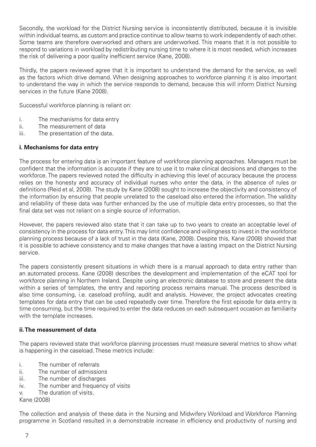Secondly, the workload for the District Nursing service is inconsistently distributed, because it is invisible within individual teams, as custom and practice continue to allow teams to work independently of each other. Some teams are therefore overworked and others are underworked. This means that it is not possible to respond to variations in workload by redistributing nursing time to where it is most needed, which increases the risk of delivering a poor quality inefficient service (Kane, 2008).

Thirdly, the papers reviewed agree that it is important to understand the demand for the service, as well as the factors which drive demand. When designing approaches to workforce planning it is also important to understand the way in which the service responds to demand, because this will inform District Nursing services in the future (Kane 2008).

Successful workforce planning is reliant on:

- i. The mechanisms for data entry
- ii. The measurement of data
- iii. The presentation of the data.

#### **i. Mechanisms for data entry**

The process for entering data is an important feature of workforce planning approaches. Managers must be confident that the information is accurate if they are to use it to make clinical decisions and changes to the workforce. The papers reviewed noted the difficulty in achieving this level of accuracy because the process relies on the honesty and accuracy of individual nurses who enter the data, in the absence of rules or definitions (Reid et al, 2008). The study by Kane (2008) sought to increase the objectivity and consistency of the information by ensuring that people unrelated to the caseload also entered the information. The validity and reliability of these data was further enhanced by the use of multiple data entry processes, so that the final data set was not reliant on a single source of information.

However, the papers reviewed also state that it can take up to two years to create an acceptable level of consistency in the process for data entry. This may limit confidence and willingness to invest in the workforce planning process because of a lack of trust in the data (Kane, 2008). Despite this, Kane (2008) showed that it is possible to achieve consistency and to make changes that have a lasting impact on the District Nursing service.

The papers consistently present situations in which there is a manual approach to data entry rather than an automated process. Kane (2008) describes the development and implementation of the eCAT tool for workforce planning in Northern Ireland. Despite using an electronic database to store and present the data within a series of templates, the entry and reporting process remains manual. The process described is also time consuming, i.e. caseload profiling, audit and analysis. However, the project advocates creating templates for data entry that can be used repeatedly over time. Therefore the first episode for data entry is time consuming, but the time required to enter the data reduces on each subsequent occasion as familiarity with the template increases.

#### **ii. The measurement of data**

The papers reviewed state that workforce planning processes must measure several metrics to show what is happening in the caseload. These metrics include:

- i. The number of referrals
- ii. The number of admissions
- iii. The number of discharges
- iv. The number and frequency of visits
- v. The duration of visits.

Kane (2008)

The collection and analysis of these data in the Nursing and Midwifery Workload and Workforce Planning programme in Scotland resulted in a demonstrable increase in efficiency and productivity of nursing and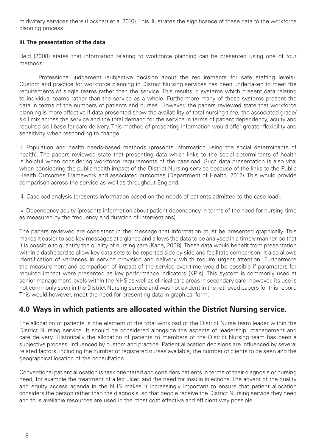midwifery services there (Lockhart et al 2010). This illustrates the significance of these data to the workforce planning process.

#### **iii. The presentation of the data**

Reid (2008) states that information relating to workforce planning can be presented using one of four methods:

i. Professional judgement (subjective decision about the requirements for safe staffing levels). Custom and practice for workforce planning in District Nursing services has been undertaken to meet the requirements of single teams rather than the service. This results in systems which present data relating to individual teams rather than the service as a whole. Furthermore many of these systems present the data in terms of the numbers of patients and nurses. However, the papers reviewed state that workforce planning is more effective if data presented show the availability of total nursing time, the associated grade/ skill mix across the service and the total demand for the service in terms of patient dependency, acuity and required skill base for care delivery. This method of presenting information would offer greater flexibility and sensitivity when responding to change.

ii. Population and health needs-based methods (presents information using the social determinants of health). The papers reviewed state that presenting data which links to the social determinants of health is helpful when considering workforce requirements of the caseload. Such data presentation is also vital when considering the public health impact of the District Nursing service because of the links to the Public Health Outcomes Framework and associated outcomes (Department of Health, 2012). This would provide comparison across the service as well as throughout England.

iii. Caseload analysis (presents information based on the needs of patients admitted to the case load).

iv. Dependency-acuity (presents information about patient dependency in terms of the need for nursing time as measured by the frequency and duration of interventions).

The papers reviewed are consistent in the message that information must be presented graphically. This makes it easier to see key messages at a glance and allows the data to be analysed in a timely manner, so that it is possible to quantify the quality of nursing care (Kane, 2008). These data would benefit from presentation within a dashboard to allow key data sets to be reported side by side and facilitate comparison. It also allows identification of variances in service provision and delivery which require urgent attention. Furthermore the measurement and comparison of impact of the service over time would be possible if parameters for required impact were presented as key performance indicators (KPIs). This system is commonly used at senior management levels within the NHS as well as clinical care areas in secondary care; however, its use is not commonly seen in the District Nursing service and was not evident in the retrieved papers for this report. This would however, meet the need for presenting data in graphical form.

# **4.0 Ways in which patients are allocated within the District Nursing service.**

The allocation of patients is one element of the total workload of the District Nurse team leader within the District Nursing service. It should be considered alongside the aspects of leadership, management and care delivery. Historically the allocation of patients to members of the District Nursing team has been a subjective process, influenced by custom and practice. Patient allocation decisions are influenced by several related factors, including the number of registered nurses available, the number of clients to be seen and the geographical location of the consultation.

Conventional patient allocation is task orientated and considers patients in terms of their diagnosis or nursing need, for example the treatment of a leg ulcer, and the need for insulin injections. The advent of the quality and equity access agenda in the NHS makes it increasingly important to ensure that patient allocation considers the person rather than the diagnosis, so that people receive the District Nursing service they need and thus available resources are used in the most cost effective and efficient way possible.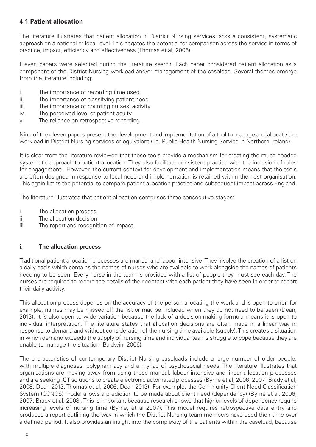#### **4.1 Patient allocation**

The literature illustrates that patient allocation in District Nursing services lacks a consistent, systematic approach on a national or local level. This negates the potential for comparison across the service in terms of practice, impact, efficiency and effectiveness (Thomas et al, 2006).

Eleven papers were selected during the literature search. Each paper considered patient allocation as a component of the District Nursing workload and/or management of the caseload. Several themes emerge from the literature including:

- i. The importance of recording time used
- ii. The importance of classifying patient need
- iii. The importance of counting nurses' activity
- iv. The perceived level of patient acuity
- v. The reliance on retrospective recording.

Nine of the eleven papers present the development and implementation of a tool to manage and allocate the workload in District Nursing services or equivalent (i.e. Public Health Nursing Service in Northern Ireland).

It is clear from the literature reviewed that these tools provide a mechanism for creating the much needed systematic approach to patient allocation. They also facilitate consistent practice with the inclusion of rules for engagement. However, the current context for development and implementation means that the tools are often designed in response to local need and implementation is retained within the host organisation. This again limits the potential to compare patient allocation practice and subsequent impact across England.

The literature illustrates that patient allocation comprises three consecutive stages:

- i. The allocation process
- ii. The allocation decision
- iii. The report and recognition of impact.

#### **i. The allocation process**

Traditional patient allocation processes are manual and labour intensive. They involve the creation of a list on a daily basis which contains the names of nurses who are available to work alongside the names of patients needing to be seen. Every nurse in the team is provided with a list of people they must see each day. The nurses are required to record the details of their contact with each patient they have seen in order to report their daily activity.

This allocation process depends on the accuracy of the person allocating the work and is open to error, for example, names may be missed off the list or may be included when they do not need to be seen (Dean, 2013). It is also open to wide variation because the lack of a decision-making formula means it is open to individual interpretation. The literature states that allocation decisions are often made in a linear way in response to demand and without consideration of the nursing time available (supply). This creates a situation in which demand exceeds the supply of nursing time and individual teams struggle to cope because they are unable to manage the situation (Baldwin, 2006).

The characteristics of contemporary District Nursing caseloads include a large number of older people, with multiple diagnoses, polypharmacy and a myriad of psychosocial needs. The literature illustrates that organisations are moving away from using these manual, labour intensive and linear allocation processes and are seeking ICT solutions to create electronic automated processes (Byrne et al, 2006; 2007; Brady et al, 2008; Dean 2013; Thomas et al, 2006; Dean 2013). For example, the Community Client Need Classification System (CCNCS) model allows a prediction to be made about client need (dependency) (Byrne et al, 2006; 2007; Brady et al, 2008). This is important because research shows that higher levels of dependency require increasing levels of nursing time (Byrne, et al 2007). This model requires retrospective data entry and produces a report outlining the way in which the District Nursing team members have used their time over a defined period. It also provides an insight into the complexity of the patients within the caseload, because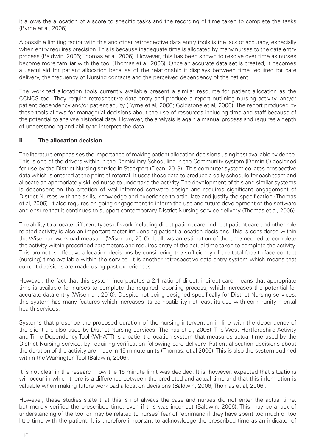it allows the allocation of a score to specific tasks and the recording of time taken to complete the tasks (Byrne et al, 2006).

A possible limiting factor with this and other retrospective data entry tools is the lack of accuracy, especially when entry requires precision. This is because inadequate time is allocated by many nurses to the data entry process (Baldwin, 2006; Thomas et al, 2006). However, this has been shown to resolve over time as nurses become more familiar with the tool (Thomas et al, 2006). Once an accurate data set is created, it becomes a useful aid for patient allocation because of the relationship it displays between time required for care delivery, the frequency of Nursing contacts and the perceived dependency of the patient.

The workload allocation tools currently available present a similar resource for patient allocation as the CCNCS tool. They require retrospective data entry and produce a report outlining nursing activity, and/or patient dependency and/or patient acuity (Byrne et al, 2006; Goldstone et al, 2000). The report produced by these tools allows for managerial decisions about the use of resources including time and staff because of the potential to analyse historical data. However, the analysis is again a manual process and requires a depth of understanding and ability to interpret the data.

#### **ii. The allocation decision**

The literature emphasises the importance of making patient allocation decisions using best available evidence. This is one of the drivers within in the Domiciliary Scheduling in the Community system (DominiC) designed for use by the District Nursing service in Stockport (Dean, 2013). This computer system collates prospective data which is entered at the point of referral. It uses these data to produce a daily schedule for each team and allocate an appropriately skilled nurse to undertake the activity. The development of this and similar systems is dependent on the creation of well-informed software design and requires significant engagement of District Nurses with the skills, knowledge and experience to articulate and justify the specification (Thomas et al, 2006). It also requires on-going engagement to inform the use and future development of the software and ensure that it continues to support contemporary District Nursing service delivery (Thomas et al, 2006).

The ability to allocate different types of work including direct patient care, indirect patient care and other role related activity is also an important factor influencing patient allocation decisions. This is considered within the Wiseman workload measure (Wiseman, 2010). It allows an estimation of the time needed to complete the activity within prescribed parameters and requires entry of the actual time taken to complete the activity. This promotes effective allocation decisions by considering the sufficiency of the total face-to-face contact (nursing) time available within the service. It is another retrospective data entry system which means that current decisions are made using past experiences.

However, the fact that this system incorporates a 2:1 ratio of direct: indirect care means that appropriate time is available for nurses to complete the required reporting process, which increases the potential for accurate data entry (Wiseman, 2010). Despite not being designed specifically for District Nursing services, this system has many features which increases its compatibility not least its use with community mental health services.

Systems that prescribe the proposed duration of the nursing intervention in line with the dependency of the client are also used by District Nursing services (Thomas et al, 2006). The West Hertfordshire Activity and Time Dependency Tool (WHATT) is a patient allocation system that measures actual time used by the District Nursing service, by requiring verification following care delivery. Patient allocation decisions about the duration of the activity are made in 15 minute units (Thomas, et al 2006). This is also the system outlined within the Warrington Tool (Baldwin, 2006).

It is not clear in the research how the 15 minute limit was decided. It is, however, expected that situations will occur in which there is a difference between the predicted and actual time and that this information is valuable when making future workload allocation decisions (Baldwin, 2006; Thomas et al, 2006).

However, these studies state that this is not always the case and nurses did not enter the actual time, but merely verified the prescribed time, even if this was incorrect (Baldwin, 2006). This may be a lack of understanding of the tool or may be related to nurses' fear of reprimand if they have spent too much or too little time with the patient. It is therefore important to acknowledge the prescribed time as an indicator of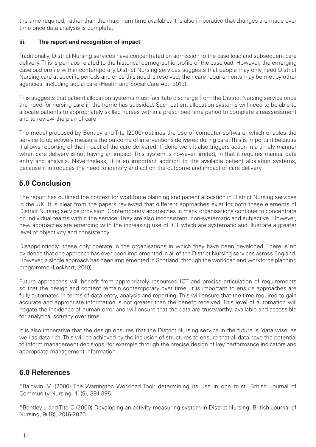the time required, rather than the maximum time available. It is also imperative that changes are made over time once data analysis is complete.

#### **iii. The report and recognition of impact**

Traditionally, District Nursing services have concentrated on admission to the case load and subsequent care delivery. This is perhaps related to the historical demographic profile of the caseload. However, the emerging caseload profile within contemporary District Nursing services suggests that people may only need District Nursing care at specific periods and once this need is resolved, their care requirements may be met by other agencies, including social care (Health and Social Care Act, 2012).

This suggests that patient allocation systems must facilitate discharge from the District Nursing service once the need for nursing care in the home has subsided. Such patient allocation systems will need to be able to allocate patients to appropriately skilled nurses within a prescribed time period to complete a reassessment and to review the plan of care.

The model proposed by Bentley and Tite (2000) outlines the use of computer software, which enables the service to objectively measure the outcome of interventions delivered during care. This is important because it allows reporting of the impact of the care delivered. If done well, it also triggers action in a timely manner when care delivery is not having an impact. This system is however limited, in that it requires manual data entry and analysis. Nevertheless, it is an important addition to the available patient allocation systems, because it introduces the need to identify and act on the outcome and impact of care delivery.

# **5.0 Conclusion**

The report has outlined the context for workforce planning and patient allocation in District Nursing services in the UK. It is clear from the papers reviewed that different approaches exist for both these elements of District Nursing service provision. Contemporary approaches in many organisations continue to concentrate on individual teams within the service. They are also inconsistent, non-systematic and subjective. However, new approaches are emerging with the increasing use of ICT which are systematic and illustrate a greater level of objectivity and consistency.

Disappointingly, these only operate in the organisations in which they have been developed. There is no evidence that one approach has ever been implemented in all of the District Nursing services across England. However, a single approach has been implemented in Scotland, through the workload and workforce planning programme (Lockhart, 2010).

Future approaches will benefit from appropriately resourced ICT and precise articulation of requirements so that the design and content remain contemporary over time. It is important to ensure approaches are fully automated in terms of data entry, analysis and reporting. This will ensure that the time required to gain accurate and appropriate information is not greater than the benefit received. This level of automation will negate the incidence of human error and will ensure that the data are trustworthy, available and accessible for analytical scrutiny over time.

It is also imperative that the design ensures that the District Nursing service in the future is 'data wise' as well as data rich. This will be achieved by the inclusion of structures to ensure that all data have the potential to inform management decisions, for example through the precise design of key performance indicators and appropriate management information.

# **6.0 References**

\*Baldwin M (2006) The Warrington Workload Tool: determining its use in one trust. British Journal of Community Nursing, 11(9), 391-395.

\*Bentley J and Tite C (2000) Developing an activity measuring system in District Nursing. British Journal of Nursing, 9(18), 2016-2020.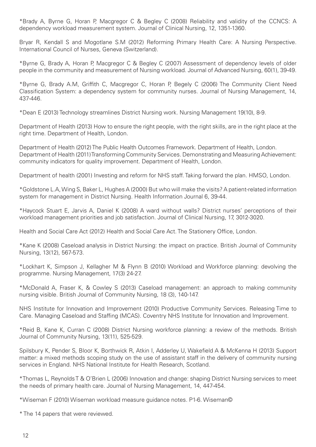\*Brady A, Byrne G, Horan P, Macgregor C & Begley C (2008) Reliability and validity of the CCNCS: A dependency workload measurement system. Journal of Clinical Nursing, 12, 1351-1360.

Bryar R, Kendall S and Mogotlane S.M (2012) Reforming Primary Health Care: A Nursing Perspective. International Council of Nurses, Geneva (Switzerland).

\*Byrne G, Brady A, Horan P, Macgregor C & Begley C (2007) Assessment of dependency levels of older people in the community and measurement of Nursing workload. Journal of Advanced Nursing, 60(1), 39-49.

\*Byrne G, Brady A.M, Griffith C, Macgregor C, Horan P, Begely C (2006) The Community Client Need Classification System: a dependency system for community nurses. Journal of Nursing Management, 14, 437-446.

\*Dean E (2013) Technology streamlines District Nursing work. Nursing Management 19(10), 8-9.

Department of Health (2013) How to ensure the right people, with the right skills, are in the right place at the right time. Department of Health, London.

Department of Health (2012) The Public Health Outcomes Framework. Department of Health, London. Department of Health (2011) Transforming Community Services. Demonstrating and Measuring Achievement: community indicators for quality improvement. Department of Health, London.

Department of health (2001) Investing and reform for NHS staff. Taking forward the plan. HMSO, London.

\*Goldstone L.A, Wing S, Baker L, Hughes A (2000) But who will make the visits? A patient-related information system for management in District Nursing. Health Information Journal 6, 39-44.

\*Haycock Stuart E, Jarvis A, Daniel K (2008) A ward without walls? District nurses' perceptions of their workload management priorities and job satisfaction. Journal of Clinical Nursing, 17, 3012-3020.

Health and Social Care Act (2012) Health and Social Care Act. The Stationery Office, London.

\*Kane K (2008) Caseload analysis in District Nursing: the impact on practice. British Journal of Community Nursing, 13(12), 567-573.

\*Lockhart K, Simpson J, Kellagher M & Flynn B (2010) Workload and Workforce planning: devolving the programme. Nursing Management, 17(3) 24-27.

\*McDonald A, Fraser K, & Cowley S (2013) Caseload management: an approach to making community nursing visible. British Journal of Community Nursing, 18 (3), 140-147.

NHS Institute for Innovation and Improvement (2010) Productive Community Services. Releasing Time to Care. Managing Caseload and Staffing (MCAS). Coventry NHS Institute for Innovation and Improvement.

\*Reid B, Kane K, Curran C (2008) District Nursing workforce planning: a review of the methods. British Journal of Community Nursing, 13(11), 525-529.

Spilsbury K, Pender S, Bloor K, Borthwick R, Atkin I, Adderley U, Wakefield A & McKenna H (2013) Support matter: a mixed methods scoping study on the use of assistant staff in the delivery of community nursing services in England. NHS National Institute for Health Research, Scotland.

\*Thomas L, Reynolds T & O'Brien L (2006) Innovation and change: shaping District Nursing services to meet the needs of primary health care. Journal of Nursing Management, 14, 447-454.

\*Wiseman F (2010) Wiseman workload measure guidance notes. P1-6. Wiseman©

\* The 14 papers that were reviewed.